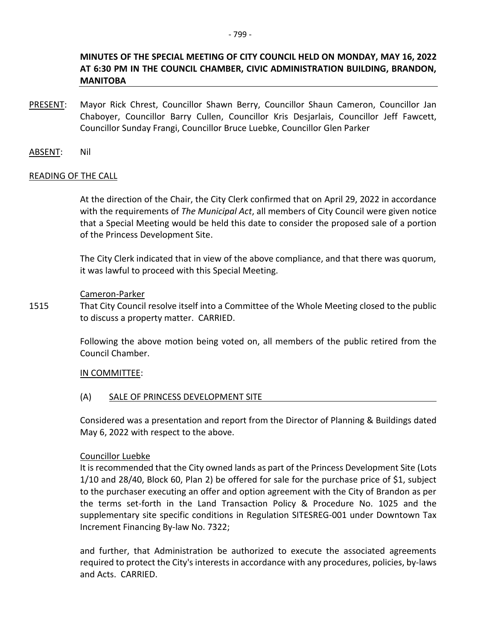# **MINUTES OF THE SPECIAL MEETING OF CITY COUNCIL HELD ON MONDAY, MAY 16, 2022 AT 6:30 PM IN THE COUNCIL CHAMBER, CIVIC ADMINISTRATION BUILDING, BRANDON, MANITOBA**

PRESENT: Mayor Rick Chrest, Councillor Shawn Berry, Councillor Shaun Cameron, Councillor Jan Chaboyer, Councillor Barry Cullen, Councillor Kris Desjarlais, Councillor Jeff Fawcett, Councillor Sunday Frangi, Councillor Bruce Luebke, Councillor Glen Parker

ABSENT: Nil

## READING OF THE CALL

At the direction of the Chair, the City Clerk confirmed that on April 29, 2022 in accordance with the requirements of *The Municipal Act*, all members of City Council were given notice that a Special Meeting would be held this date to consider the proposed sale of a portion of the Princess Development Site.

The City Clerk indicated that in view of the above compliance, and that there was quorum, it was lawful to proceed with this Special Meeting.

### Cameron-Parker

1515 That City Council resolve itself into a Committee of the Whole Meeting closed to the public to discuss a property matter. CARRIED.

> Following the above motion being voted on, all members of the public retired from the Council Chamber.

## IN COMMITTEE:

## (A) SALE OF PRINCESS DEVELOPMENT SITE

Considered was a presentation and report from the Director of Planning & Buildings dated May 6, 2022 with respect to the above.

## Councillor Luebke

It is recommended that the City owned lands as part of the Princess Development Site (Lots 1/10 and 28/40, Block 60, Plan 2) be offered for sale for the purchase price of \$1, subject to the purchaser executing an offer and option agreement with the City of Brandon as per the terms set-forth in the Land Transaction Policy & Procedure No. 1025 and the supplementary site specific conditions in Regulation SITESREG-001 under Downtown Tax Increment Financing By-law No. 7322;

and further, that Administration be authorized to execute the associated agreements required to protect the City's interests in accordance with any procedures, policies, by-laws and Acts. CARRIED.